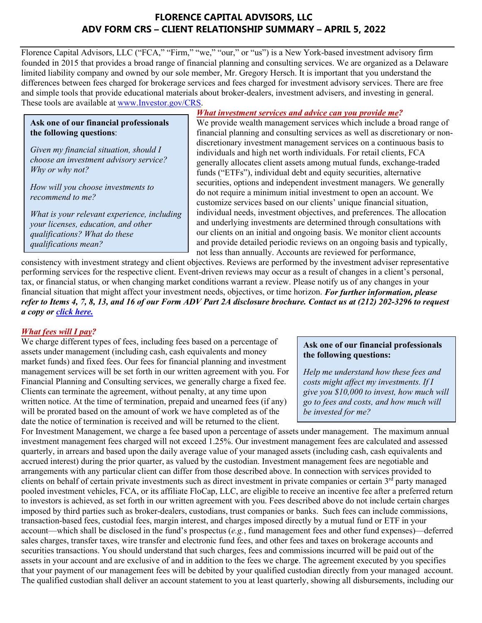# **FLORENCE CAPITAL ADVISORS, LLC ADV FORM CRS – CLIENT RELATIONSHIP SUMMARY – APRIL 5, 2022**

Florence Capital Advisors, LLC ("FCA," "Firm," "we," "our," or "us") is a New York-based investment advisory firm founded in 2015 that provides a broad range of financial planning and consulting services. We are organized as a Delaware limited liability company and owned by our sole member, Mr. Gregory Hersch. It is important that you understand the differences between fees charged for brokerage services and fees charged for investment advisory services. There are free and simple tools that provide educational materials about broker-dealers, investment advisers, and investing in general. These tools are available at [www.Investor.gov/CRS.](http://www.investor.gov/CRS)

#### **Ask one of our financial professionals the following questions**:

*Given my financial situation, should I choose an investment advisory service? Why or why not?*

*How will you choose investments to recommend to me?*

*What is your relevant experience, including your licenses, education, and other qualifications? What do these qualifications mean?*

## *What investment services and advice can you provide me?*

We provide wealth management services which include a broad range of financial planning and consulting services as well as discretionary or nondiscretionary investment management services on a continuous basis to individuals and high net worth individuals. For retail clients, FCA generally allocates client assets among mutual funds, exchange-traded funds ("ETFs"), individual debt and equity securities, alternative securities, options and independent investment managers. We generally do not require a minimum initial investment to open an account. We customize services based on our clients' unique financial situation, individual needs, investment objectives, and preferences. The allocation and underlying investments are determined through consultations with our clients on an initial and ongoing basis. We monitor client accounts and provide detailed periodic reviews on an ongoing basis and typically, not less than annually. Accounts are reviewed for performance,

consistency with investment strategy and client objectives. Reviews are performed by the investment adviser representative performing services for the respective client. Event-driven reviews may occur as a result of changes in a client's personal, tax, or financial status, or when changing market conditions warrant a review. Please notify us of any changes in your financial situation that might affect your investment needs, objectives, or time horizon. *For further information, please refer to Items 4, 7, 8, 13, and 16 of our Form ADV Part 2A disclosure brochure. Contact us at (212) 202-3296 to request a copy or [click](https://adviserinfo.sec.gov/firm/summary/281038) here.*

## *What fees will I pay?*

We charge different types of fees, including fees based on a percentage of assets under management (including cash, cash equivalents and money market funds) and fixed fees. Our fees for financial planning and investment management services will be set forth in our written agreement with you. For Financial Planning and Consulting services, we generally charge a fixed fee. Clients can terminate the agreement, without penalty, at any time upon written notice. At the time of termination, prepaid and unearned fees (if any) will be prorated based on the amount of work we have completed as of the date the notice of termination is received and will be returned to the client.

#### **Ask one of our financial professionals the following questions:**

*Help me understand how these fees and costs might affect my investments. If I give you \$10,000 to invest, how much will go to fees and costs, and how much will be invested for me?*

For Investment Management, we charge a fee based upon a percentage of assets under management. The maximum annual investment management fees charged will not exceed 1.25%. Our investment management fees are calculated and assessed quarterly, in arrears and based upon the daily average value of your managed assets (including cash, cash equivalents and accrued interest) during the prior quarter, as valued by the custodian. Investment management fees are negotiable and arrangements with any particular client can differ from those described above. In connection with services provided to clients on behalf of certain private investments such as direct investment in private companies or certain  $3<sup>rd</sup>$  party managed pooled investment vehicles, FCA, or its affiliate FloCap, LLC, are eligible to receive an incentive fee after a preferred return to investors is achieved, as set forth in our written agreement with you. Fees described above do not include certain charges imposed by third parties such as broker-dealers, custodians, trust companies or banks. Such fees can include commissions, transaction-based fees, custodial fees, margin interest, and charges imposed directly by a mutual fund or ETF in your account—which shall be disclosed in the fund's prospectus (*e.g.*, fund management fees and other fund expenses)—deferred sales charges, transfer taxes, wire transfer and electronic fund fees, and other fees and taxes on brokerage accounts and securities transactions. You should understand that such charges, fees and commissions incurred will be paid out of the assets in your account and are exclusive of and in addition to the fees we charg**e**. The agreement executed by you specifies that your payment of our management fees will be debited by your qualified custodian directly from your managed account. The qualified custodian shall deliver an account statement to you at least quarterly, showing all disbursements, including our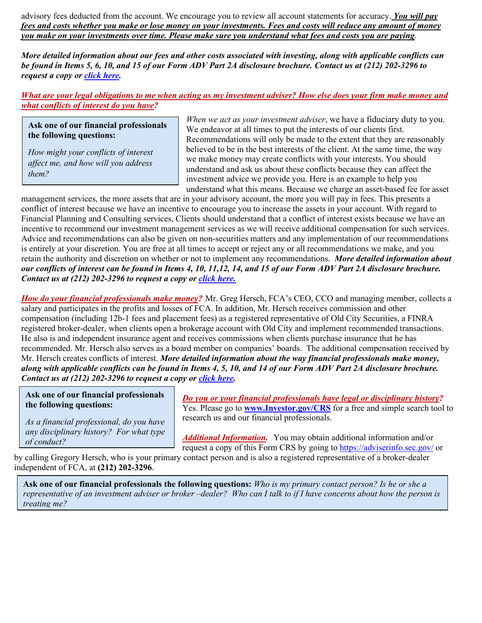advisory fees deducted from the account. We encourage you to review all account statements for accuracy. *You will pay fees and costs whether you make or lose money on your investments. Fees and costs will reduce any amount of money you make on your investments over time. Please make sure you understand what fees and costs you are paying*.

*More detailed information about our fees and other costs associated with investing, along with applicable conflicts can be found in Items 5, 6, 10, and 15 of our Form ADV Part 2A disclosure brochure. Contact us at (212) 202-3296 to request a copy or [click here.](https://adviserinfo.sec.gov/firm/summary/281038)* 

*What are your legal obligations to me when acting as my investment adviser? How else does your firm make money and what conflicts of interest do you have?*

**Ask one of our financial professionals the following questions:**

*How might your conflicts of interest affect me, and how will you address them?*

*When we act as your investment adviser*, we have a fiduciary duty to you. We endeavor at all times to put the interests of our clients first. Recommendations will only be made to the extent that they are reasonably believed to be in the best interests of the client. At the same time, the way we make money may create conflicts with your interests. You should understand and ask us about these conflicts because they can affect the investment advice we provide you. Here is an example to help you understand what this means. Because we charge an asset-based fee for asset

management services, the more assets that are in your advisory account, the more you will pay in fees. This presents a conflict of interest because we have an incentive to encourage you to increase the assets in your account. With regard to Financial Planning and Consulting services, Clients should understand that a conflict of interest exists because we have an incentive to recommend our investment management services as we will receive additional compensation for such services. Advice and recommendations can also be given on non-securities matters and any implementation of our recommendations is entirely at your discretion. You are free at all times to accept or reject any or all recommendations we make, and you retain the authority and discretion on whether or not to implement any recommendations. *More detailed information about our conflicts of interest can be found in Items 4, 10, 11,12, 14, and 15 of our Form ADV Part 2A disclosure brochure. Contact us at (212) 202-3296 to request a copy or [click here.](https://adviserinfo.sec.gov/firm/summary/281038)*

*How do your financial professionals make money?* Mr. Greg Hersch, FCA's CEO, CCO and managing member, collects a salary and participates in the profits and losses of FCA. In addition, Mr. Hersch receives commission and other compensation (including 12b-1 fees and placement fees) as a registered representative of Old City Securities, a FINRA registered broker-dealer, when clients open a brokerage account with Old City and implement recommended transactions. He also is and independent insurance agent and receives commissions when clients purchase insurance that he has recommended. Mr. Hersch also serves as a board member on companies' boards. The additional compensation received by Mr. Hersch creates conflicts of interest. *More detailed information about the way financial professionals make money, along with applicable conflicts can be found in Items 4, 5, 10, and 14 of our Form ADV Part 2A disclosure brochure. Contact us at (212) 202-3296 to request a copy or [click here.](https://adviserinfo.sec.gov/firm/summary/281038)* 

**Ask one of our financial professionals the following questions:**

*As a financial professional, do you have any disciplinary history? For what type of conduct?*

*Do you or your financial professionals have legal or disciplinary history?* Yes. Please go to **[www.Investor.gov/CRS](http://www.investor.gov/CRS)** for a free and simple search tool to research us and our financial professionals.

*Additional Information.* You may obtain additional information and/or request a copy of this Form CRS by going to [https://adviserinfo.sec.gov/](https://adviserinfo.sec.gov/firm/summary/124038) or

by calling Gregory Hersch, who is your primary contact person and is also a registered representative of a broker-dealer independent of FCA, at **(212) 202-3296**.

**Ask one of our financial professionals the following questions:** *Who is my primary contact person? Is he or she a representative of an investment adviser or broker –dealer? Who can I talk to if I have concerns about how the person is treating me?*